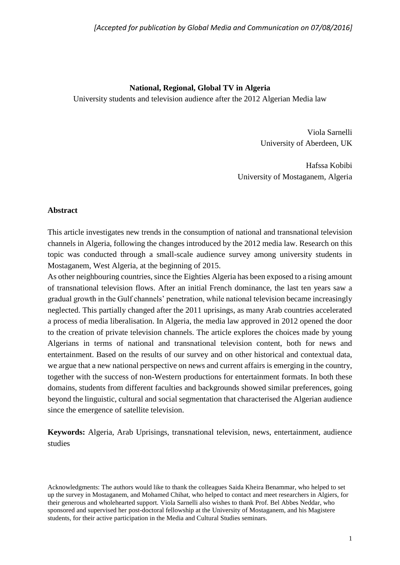## **National, Regional, Global TV in Algeria**

University students and television audience after the 2012 Algerian Media law

Viola Sarnelli University of Aberdeen, UK

Hafssa Kobibi University of Mostaganem, Algeria

### **Abstract**

This article investigates new trends in the consumption of national and transnational television channels in Algeria, following the changes introduced by the 2012 media law. Research on this topic was conducted through a small-scale audience survey among university students in Mostaganem, West Algeria, at the beginning of 2015.

As other neighbouring countries, since the Eighties Algeria has been exposed to a rising amount of transnational television flows. After an initial French dominance, the last ten years saw a gradual growth in the Gulf channels' penetration, while national television became increasingly neglected. This partially changed after the 2011 uprisings, as many Arab countries accelerated a process of media liberalisation. In Algeria, the media law approved in 2012 opened the door to the creation of private television channels. The article explores the choices made by young Algerians in terms of national and transnational television content, both for news and entertainment. Based on the results of our survey and on other historical and contextual data, we argue that a new national perspective on news and current affairs is emerging in the country, together with the success of non-Western productions for entertainment formats. In both these domains, students from different faculties and backgrounds showed similar preferences, going beyond the linguistic, cultural and social segmentation that characterised the Algerian audience since the emergence of satellite television.

**Keywords:** Algeria, Arab Uprisings, transnational television, news, entertainment, audience studies

Acknowledgments: The authors would like to thank the colleagues Saida Kheira Benammar, who helped to set up the survey in Mostaganem, and Mohamed Chihat, who helped to contact and meet researchers in Algiers, for their generous and wholehearted support. Viola Sarnelli also wishes to thank Prof. Bel Abbes Neddar, who sponsored and supervised her post-doctoral fellowship at the University of Mostaganem, and his Magistere students, for their active participation in the Media and Cultural Studies seminars.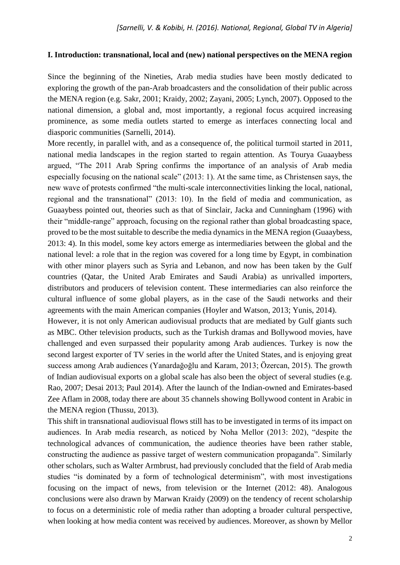## **I. Introduction: transnational, local and (new) national perspectives on the MENA region**

Since the beginning of the Nineties, Arab media studies have been mostly dedicated to exploring the growth of the pan-Arab broadcasters and the consolidation of their public across the MENA region (e.g. Sakr, 2001; Kraidy, 2002; Zayani, 2005; Lynch, 2007). Opposed to the national dimension, a global and, most importantly, a regional focus acquired increasing prominence, as some media outlets started to emerge as interfaces connecting local and diasporic communities (Sarnelli, 2014).

More recently, in parallel with, and as a consequence of, the political turmoil started in 2011, national media landscapes in the region started to regain attention. As Tourya Guaaybess argued, "The 2011 Arab Spring confirms the importance of an analysis of Arab media especially focusing on the national scale" (2013: 1). At the same time, as Christensen says, the new wave of protests confirmed "the multi-scale interconnectivities linking the local, national, regional and the transnational" (2013: 10). In the field of media and communication, as Guaaybess pointed out, theories such as that of Sinclair, Jacka and Cunningham (1996) with their "middle-range" approach, focusing on the regional rather than global broadcasting space, proved to be the most suitable to describe the media dynamics in the MENA region (Guaaybess, 2013: 4). In this model, some key actors emerge as intermediaries between the global and the national level: a role that in the region was covered for a long time by Egypt, in combination with other minor players such as Syria and Lebanon, and now has been taken by the Gulf countries (Qatar, the United Arab Emirates and Saudi Arabia) as unrivalled importers, distributors and producers of television content. These intermediaries can also reinforce the cultural influence of some global players, as in the case of the Saudi networks and their agreements with the main American companies (Hoyler and Watson, 2013; Yunis, 2014).

However, it is not only American audiovisual products that are mediated by Gulf giants such as MBC. Other television products, such as the Turkish dramas and Bollywood movies, have challenged and even surpassed their popularity among Arab audiences. Turkey is now the second largest exporter of TV series in the world after the United States, and is enjoying great success among Arab audiences (Yanardağoğlu and Karam, 2013; Özercan, 2015). The growth of Indian audiovisual exports on a global scale has also been the object of several studies (e.g. Rao, 2007; Desai 2013; Paul 2014). After the launch of the Indian-owned and Emirates-based Zee Aflam in 2008, today there are about 35 channels showing Bollywood content in Arabic in the MENA region (Thussu, 2013).

This shift in transnational audiovisual flows still has to be investigated in terms of its impact on audiences. In Arab media research, as noticed by Noha Mellor (2013: 202), "despite the technological advances of communication, the audience theories have been rather stable, constructing the audience as passive target of western communication propaganda". Similarly other scholars, such as Walter Armbrust, had previously concluded that the field of Arab media studies "is dominated by a form of technological determinism", with most investigations focusing on the impact of news, from television or the Internet (2012: 48). Analogous conclusions were also drawn by Marwan Kraidy (2009) on the tendency of recent scholarship to focus on a deterministic role of media rather than adopting a broader cultural perspective, when looking at how media content was received by audiences. Moreover, as shown by Mellor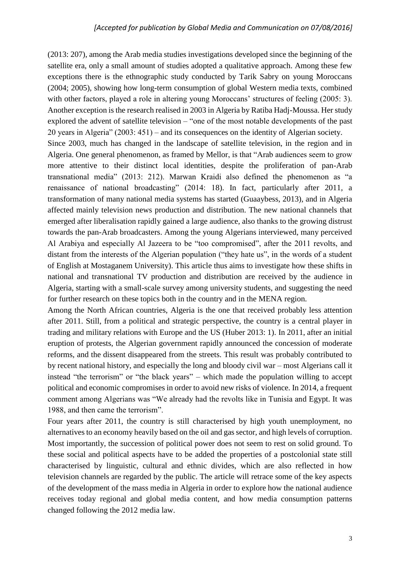(2013: 207), among the Arab media studies investigations developed since the beginning of the satellite era, only a small amount of studies adopted a qualitative approach. Among these few exceptions there is the ethnographic study conducted by Tarik Sabry on young Moroccans (2004; 2005), showing how long-term consumption of global Western media texts, combined with other factors, played a role in altering young Moroccans' structures of feeling (2005: 3). Another exception is the research realised in 2003 in Algeria by Ratiba Hadj-Moussa. Her study explored the advent of satellite television – "one of the most notable developments of the past 20 years in Algeria" (2003: 451) – and its consequences on the identity of Algerian society.

Since 2003, much has changed in the landscape of satellite television, in the region and in Algeria. One general phenomenon, as framed by Mellor, is that "Arab audiences seem to grow more attentive to their distinct local identities, despite the proliferation of pan-Arab transnational media" (2013: 212). Marwan Kraidi also defined the phenomenon as "a renaissance of national broadcasting" (2014: 18). In fact, particularly after 2011, a transformation of many national media systems has started (Guaaybess, 2013), and in Algeria affected mainly television news production and distribution. The new national channels that emerged after liberalisation rapidly gained a large audience, also thanks to the growing distrust towards the pan-Arab broadcasters. Among the young Algerians interviewed, many perceived Al Arabiya and especially Al Jazeera to be "too compromised", after the 2011 revolts, and distant from the interests of the Algerian population ("they hate us", in the words of a student of English at Mostaganem University). This article thus aims to investigate how these shifts in national and transnational TV production and distribution are received by the audience in Algeria, starting with a small-scale survey among university students, and suggesting the need for further research on these topics both in the country and in the MENA region.

Among the North African countries, Algeria is the one that received probably less attention after 2011. Still, from a political and strategic perspective, the country is a central player in trading and military relations with Europe and the US (Huber 2013: 1). In 2011, after an initial eruption of protests, the Algerian government rapidly announced the concession of moderate reforms, and the dissent disappeared from the streets. This result was probably contributed to by recent national history, and especially the long and bloody civil war – most Algerians call it instead "the terrorism" or "the black years" – which made the population willing to accept political and economic compromises in order to avoid new risks of violence. In 2014, a frequent comment among Algerians was "We already had the revolts like in Tunisia and Egypt. It was 1988, and then came the terrorism".

Four years after 2011, the country is still characterised by high youth unemployment, no alternatives to an economy heavily based on the oil and gas sector, and high levels of corruption. Most importantly, the succession of political power does not seem to rest on solid ground. To these social and political aspects have to be added the properties of a postcolonial state still characterised by linguistic, cultural and ethnic divides, which are also reflected in how television channels are regarded by the public. The article will retrace some of the key aspects of the development of the mass media in Algeria in order to explore how the national audience receives today regional and global media content, and how media consumption patterns changed following the 2012 media law.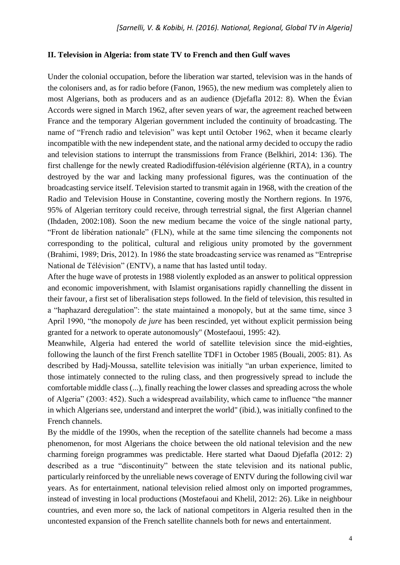## **II. Television in Algeria: from state TV to French and then Gulf waves**

Under the colonial occupation, before the liberation war started, television was in the hands of the colonisers and, as for radio before (Fanon, 1965), the new medium was completely alien to most Algerians, both as producers and as an audience (Djefafla 2012: 8). When the Évian Accords were signed in March 1962, after seven years of war, the agreement reached between France and the temporary Algerian government included the continuity of broadcasting. The name of "French radio and television" was kept until October 1962, when it became clearly incompatible with the new independent state, and the national army decided to occupy the radio and television stations to interrupt the transmissions from France (Belkhiri, 2014: 136). The first challenge for the newly created Radiodiffusion-télévision algérienne (RTA), in a country destroyed by the war and lacking many professional figures, was the continuation of the broadcasting service itself. Television started to transmit again in 1968, with the creation of the Radio and Television House in Constantine, covering mostly the Northern regions. In 1976, 95% of Algerian territory could receive, through terrestrial signal, the first Algerian channel (Ihdaden, 2002:108). Soon the new medium became the voice of the single national party, "Front de libération nationale" (FLN), while at the same time silencing the components not corresponding to the political, cultural and religious unity promoted by the government (Brahimi, 1989; Dris, 2012). In 1986 the state broadcasting service was renamed as "Entreprise National de Télévision" (ENTV), a name that has lasted until today.

After the huge wave of protests in 1988 violently exploded as an answer to political oppression and economic impoverishment, with Islamist organisations rapidly channelling the dissent in their favour, a first set of liberalisation steps followed. In the field of television, this resulted in a "haphazard deregulation": the state maintained a monopoly, but at the same time, since 3 April 1990, "the monopoly *de jure* has been rescinded, yet without explicit permission being granted for a network to operate autonomously" (Mostefaoui, 1995: 42).

Meanwhile, Algeria had entered the world of satellite television since the mid-eighties, following the launch of the first French satellite TDF1 in October 1985 (Bouali, 2005: 81). As described by Hadj-Moussa, satellite television was initially "an urban experience, limited to those intimately connected to the ruling class, and then progressively spread to include the comfortable middle class (...), finally reaching the lower classes and spreading across the whole of Algeria" (2003: 452). Such a widespread availability, which came to influence "the manner in which Algerians see, understand and interpret the world" (ibid.), was initially confined to the French channels.

By the middle of the 1990s, when the reception of the satellite channels had become a mass phenomenon, for most Algerians the choice between the old national television and the new charming foreign programmes was predictable. Here started what Daoud Djefafla (2012: 2) described as a true "discontinuity" between the state television and its national public, particularly reinforced by the unreliable news coverage of ENTV during the following civil war years. As for entertainment, national television relied almost only on imported programmes, instead of investing in local productions (Mostefaoui and Khelil, 2012: 26). Like in neighbour countries, and even more so, the lack of national competitors in Algeria resulted then in the uncontested expansion of the French satellite channels both for news and entertainment.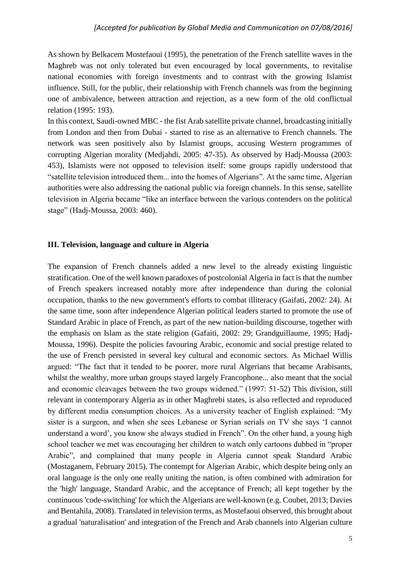As shown by Belkacem Mostefaoui (1995), the penetration of the French satellite waves in the Maghreb was not only tolerated but even encouraged by local governments, to revitalise national economies with foreign investments and to contrast with the growing Islamist influence. Still, for the public, their relationship with French channels was from the beginning one of ambivalence, between attraction and rejection, as a new form of the old conflictual relation (1995: 193).

In this context, Saudi-owned MBC - the fist Arab satellite private channel, broadcasting initially from London and then from Dubai - started to rise as an alternative to French channels. The network was seen positively also by Islamist groups, accusing Western programmes of corrupting Algerian morality (Medjahdi, 2005: 47-35). As observed by Hadj-Moussa (2003: 453), Islamists were not opposed to television itself: some groups rapidly understood that "satellite television introduced them... into the homes of Algerians". At the same time, Algerian authorities were also addressing the national public via foreign channels. In this sense, satellite television in Algeria became "like an interface between the various contenders on the political stage" (Hadj-Moussa, 2003: 460).

### **III. Television, language and culture in Algeria**

The expansion of French channels added a new level to the already existing linguistic stratification. One of the well known paradoxes of postcolonial Algeria in fact is that the number of French speakers increased notably more after independence than during the colonial occupation, thanks to the new government's efforts to combat illiteracy (Gaifati, 2002: 24). At the same time, soon after independence Algerian political leaders started to promote the use of Standard Arabic in place of French, as part of the new nation-building discourse, together with the emphasis on Islam as the state religion (Gafaiti, 2002: 29; Grandguillaume, 1995; Hadj-Moussa, 1996). Despite the policies favouring Arabic, economic and social prestige related to the use of French persisted in several key cultural and economic sectors. As Michael Willis argued: "The fact that it tended to be poorer, more rural Algerians that became Arabisants, whilst the wealthy, more urban groups stayed largely Francophone... also meant that the social and economic cleavages between the two groups widened." (1997: 51-52) This division, still relevant in contemporary Algeria as in other Maghrebi states, is also reflected and reproduced by different media consumption choices. As a university teacher of English explained: "My sister is a surgeon, and when she sees Lebanese or Syrian serials on TV she says 'I cannot understand a word', you know she always studied in French". On the other hand, a young high school teacher we met was encouraging her children to watch only cartoons dubbed in "proper Arabic", and complained that many people in Algeria cannot speak Standard Arabic (Mostaganem, February 2015). The contempt for Algerian Arabic, which despite being only an oral language is the only one really uniting the nation, is often combined with admiration for the 'high' language, Standard Arabic, and the acceptance of French; all kept together by the continuous 'code-switching' for which the Algerians are well-known (e.g. Coubet, 2013; Davies and Bentahila, 2008). Translated in television terms, as Mostefaoui observed, this brought about a gradual 'naturalisation' and integration of the French and Arab channels into Algerian culture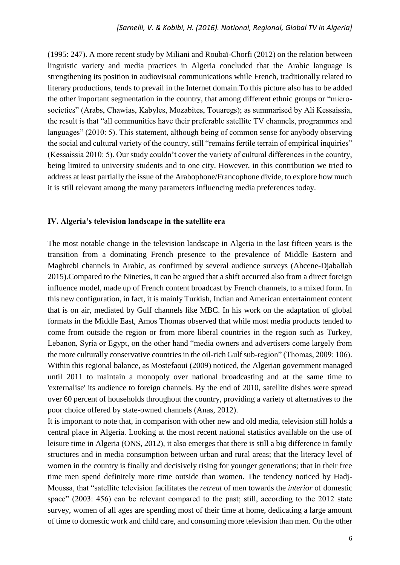(1995: 247). A more recent study by Miliani and Roubaï-Chorfi (2012) on the relation between linguistic variety and media practices in Algeria concluded that the Arabic language is strengthening its position in audiovisual communications while French, traditionally related to literary productions, tends to prevail in the Internet domain.To this picture also has to be added the other important segmentation in the country, that among different ethnic groups or "microsocieties" (Arabs, Chawias, Kabyles, Mozabites, Touaregs); as summarised by Ali Kessaissia, the result is that "all communities have their preferable satellite TV channels, programmes and languages" (2010: 5). This statement, although being of common sense for anybody observing the social and cultural variety of the country, still "remains fertile terrain of empirical inquiries" (Kessaissia 2010: 5). Our study couldn't cover the variety of cultural differences in the country, being limited to university students and to one city. However, in this contribution we tried to address at least partially the issue of the Arabophone/Francophone divide, to explore how much it is still relevant among the many parameters influencing media preferences today.

## **IV. Algeria's television landscape in the satellite era**

The most notable change in the television landscape in Algeria in the last fifteen years is the transition from a dominating French presence to the prevalence of Middle Eastern and Maghrebi channels in Arabic, as confirmed by several audience surveys (Ahcene-Djaballah 2015).Compared to the Nineties, it can be argued that a shift occurred also from a direct foreign influence model, made up of French content broadcast by French channels, to a mixed form. In this new configuration, in fact, it is mainly Turkish, Indian and American entertainment content that is on air, mediated by Gulf channels like MBC. In his work on the adaptation of global formats in the Middle East, Amos Thomas observed that while most media products tended to come from outside the region or from more liberal countries in the region such as Turkey, Lebanon, Syria or Egypt, on the other hand "media owners and advertisers come largely from the more culturally conservative countries in the oil-rich Gulf sub-region" (Thomas, 2009: 106). Within this regional balance, as Mostefaoui (2009) noticed, the Algerian government managed until 2011 to maintain a monopoly over national broadcasting and at the same time to 'externalise' its audience to foreign channels. By the end of 2010, satellite dishes were spread over 60 percent of households throughout the country, providing a variety of alternatives to the poor choice offered by state-owned channels (Anas, 2012).

It is important to note that, in comparison with other new and old media, television still holds a central place in Algeria. Looking at the most recent national statistics available on the use of leisure time in Algeria (ONS, 2012), it also emerges that there is still a big difference in family structures and in media consumption between urban and rural areas; that the literacy level of women in the country is finally and decisively rising for younger generations; that in their free time men spend definitely more time outside than women. The tendency noticed by Hadj-Moussa, that "satellite television facilitates the *retreat* of men towards the *interior* of domestic space" (2003: 456) can be relevant compared to the past; still, according to the 2012 state survey, women of all ages are spending most of their time at home, dedicating a large amount of time to domestic work and child care, and consuming more television than men. On the other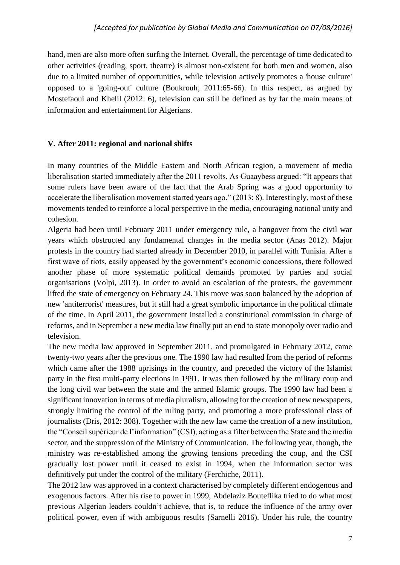hand, men are also more often surfing the Internet. Overall, the percentage of time dedicated to other activities (reading, sport, theatre) is almost non-existent for both men and women, also due to a limited number of opportunities, while television actively promotes a 'house culture' opposed to a 'going-out' culture (Boukrouh, 2011:65-66). In this respect, as argued by Mostefaoui and Khelil (2012: 6), television can still be defined as by far the main means of information and entertainment for Algerians.

## **V. After 2011: regional and national shifts**

In many countries of the Middle Eastern and North African region, a movement of media liberalisation started immediately after the 2011 revolts. As Guaaybess argued: "It appears that some rulers have been aware of the fact that the Arab Spring was a good opportunity to accelerate the liberalisation movement started years ago." (2013: 8). Interestingly, most of these movements tended to reinforce a local perspective in the media, encouraging national unity and cohesion.

Algeria had been until February 2011 under emergency rule, a hangover from the civil war years which obstructed any fundamental changes in the media sector (Anas 2012). Major protests in the country had started already in December 2010, in parallel with Tunisia. After a first wave of riots, easily appeased by the government's economic concessions, there followed another phase of more systematic political demands promoted by parties and social organisations (Volpi, 2013). In order to avoid an escalation of the protests, the government lifted the state of emergency on February 24. This move was soon balanced by the adoption of new 'antiterrorist' measures, but it still had a great symbolic importance in the political climate of the time. In April 2011, the government installed a constitutional commission in charge of reforms, and in September a new media law finally put an end to state monopoly over radio and television.

The new media law approved in September 2011, and promulgated in February 2012, came twenty-two years after the previous one. The 1990 law had resulted from the period of reforms which came after the 1988 uprisings in the country, and preceded the victory of the Islamist party in the first multi-party elections in 1991. It was then followed by the military coup and the long civil war between the state and the armed Islamic groups. The 1990 law had been a significant innovation in terms of media pluralism, allowing for the creation of new newspapers, strongly limiting the control of the ruling party, and promoting a more professional class of journalists (Dris, 2012: 308). Together with the new law came the creation of a new institution, the "Conseil supérieur de l'information" (CSI), acting as a filter between the State and the media sector, and the suppression of the Ministry of Communication. The following year, though, the ministry was re-established among the growing tensions preceding the coup, and the CSI gradually lost power until it ceased to exist in 1994, when the information sector was definitively put under the control of the military (Ferchiche, 2011).

The 2012 law was approved in a context characterised by completely different endogenous and exogenous factors. After his rise to power in 1999, Abdelaziz Bouteflika tried to do what most previous Algerian leaders couldn't achieve, that is, to reduce the influence of the army over political power, even if with ambiguous results (Sarnelli 2016). Under his rule, the country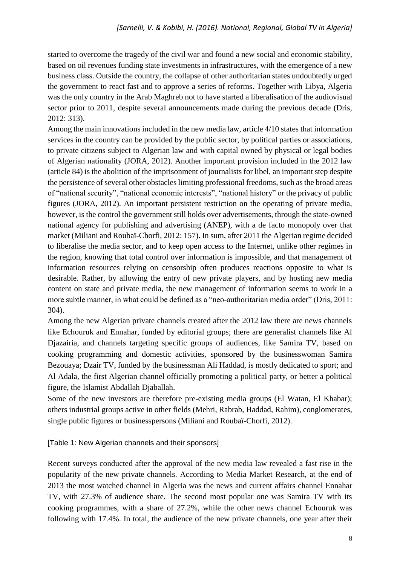started to overcome the tragedy of the civil war and found a new social and economic stability, based on oil revenues funding state investments in infrastructures, with the emergence of a new business class. Outside the country, the collapse of other authoritarian states undoubtedly urged the government to react fast and to approve a series of reforms. Together with Libya, Algeria was the only country in the Arab Maghreb not to have started a liberalisation of the audiovisual sector prior to 2011, despite several announcements made during the previous decade (Dris, 2012: 313).

Among the main innovations included in the new media law, article 4/10 states that information services in the country can be provided by the public sector, by political parties or associations, to private citizens subject to Algerian law and with capital owned by physical or legal bodies of Algerian nationality (JORA, 2012). Another important provision included in the 2012 law (article 84) is the abolition of the imprisonment of journalists for libel, an important step despite the persistence of several other obstacles limiting professional freedoms, such as the broad areas of "national security", "national economic interests", "national history" or the privacy of public figures (JORA, 2012). An important persistent restriction on the operating of private media, however, is the control the government still holds over advertisements, through the state-owned national agency for publishing and advertising (ANEP), with a de facto monopoly over that market (Miliani and Roubaï-Chorfi, 2012: 157). In sum, after 2011 the Algerian regime decided to liberalise the media sector, and to keep open access to the Internet, unlike other regimes in the region, knowing that total control over information is impossible, and that management of information resources relying on censorship often produces reactions opposite to what is desirable. Rather, by allowing the entry of new private players, and by hosting new media content on state and private media, the new management of information seems to work in a more subtle manner, in what could be defined as a "neo-authoritarian media order" (Dris, 2011: 304).

Among the new Algerian private channels created after the 2012 law there are news channels like Echouruk and Ennahar, funded by editorial groups; there are generalist channels like Al Djazairia, and channels targeting specific groups of audiences, like Samira TV, based on cooking programming and domestic activities, sponsored by the businesswoman Samira Bezouaya; Dzair TV, funded by the businessman Ali Haddad, is mostly dedicated to sport; and Al Adala, the first Algerian channel officially promoting a political party, or better a political figure, the Islamist Abdallah Djaballah.

Some of the new investors are therefore pre-existing media groups (El Watan, El Khabar); others industrial groups active in other fields (Mehri, Rabrab, Haddad, Rahim), conglomerates, single public figures or businesspersons (Miliani and Roubaï-Chorfi, 2012).

[Table 1: New Algerian channels and their sponsors]

Recent surveys conducted after the approval of the new media law revealed a fast rise in the popularity of the new private channels. According to Media Market Research, at the end of 2013 the most watched channel in Algeria was the news and current affairs channel Ennahar TV, with 27.3% of audience share. The second most popular one was Samira TV with its cooking programmes, with a share of 27.2%, while the other news channel Echouruk was following with 17.4%. In total, the audience of the new private channels, one year after their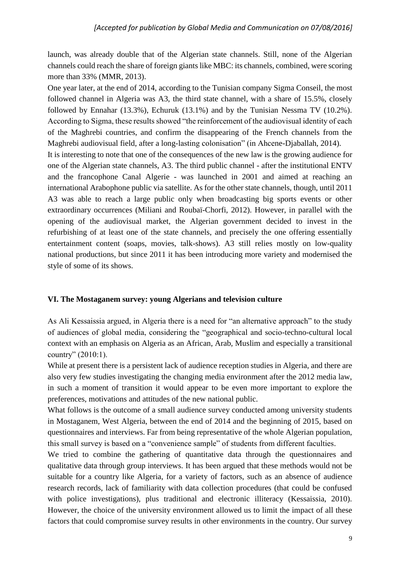launch, was already double that of the Algerian state channels. Still, none of the Algerian channels could reach the share of foreign giants like MBC: its channels, combined, were scoring more than 33% (MMR, 2013).

One year later, at the end of 2014, according to the Tunisian company Sigma Conseil, the most followed channel in Algeria was A3, the third state channel, with a share of 15.5%, closely followed by Ennahar (13.3%), Echuruk (13.1%) and by the Tunisian Nessma TV (10.2%). According to Sigma, these results showed "the reinforcement of the audiovisual identity of each of the Maghrebi countries, and confirm the disappearing of the French channels from the Maghrebi audiovisual field, after a long-lasting colonisation" (in Ahcene-Djaballah, 2014).

It is interesting to note that one of the consequences of the new law is the growing audience for one of the Algerian state channels, A3. The third public channel - after the institutional ENTV and the francophone Canal Algerie - was launched in 2001 and aimed at reaching an international Arabophone public via satellite. As for the other state channels, though, until 2011 A3 was able to reach a large public only when broadcasting big sports events or other extraordinary occurrences (Miliani and Roubaï-Chorfi, 2012). However, in parallel with the opening of the audiovisual market, the Algerian government decided to invest in the refurbishing of at least one of the state channels, and precisely the one offering essentially entertainment content (soaps, movies, talk-shows). A3 still relies mostly on low-quality national productions, but since 2011 it has been introducing more variety and modernised the style of some of its shows.

## **VI. The Mostaganem survey: young Algerians and television culture**

As Ali Kessaissia argued, in Algeria there is a need for "an alternative approach" to the study of audiences of global media, considering the "geographical and socio-techno-cultural local context with an emphasis on Algeria as an African, Arab, Muslim and especially a transitional country" (2010:1).

While at present there is a persistent lack of audience reception studies in Algeria, and there are also very few studies investigating the changing media environment after the 2012 media law, in such a moment of transition it would appear to be even more important to explore the preferences, motivations and attitudes of the new national public.

What follows is the outcome of a small audience survey conducted among university students in Mostaganem, West Algeria, between the end of 2014 and the beginning of 2015, based on questionnaires and interviews. Far from being representative of the whole Algerian population, this small survey is based on a "convenience sample" of students from different faculties.

We tried to combine the gathering of quantitative data through the questionnaires and qualitative data through group interviews. It has been argued that these methods would not be suitable for a country like Algeria, for a variety of factors, such as an absence of audience research records, lack of familiarity with data collection procedures (that could be confused with police investigations), plus traditional and electronic illiteracy (Kessaissia, 2010). However, the choice of the university environment allowed us to limit the impact of all these factors that could compromise survey results in other environments in the country. Our survey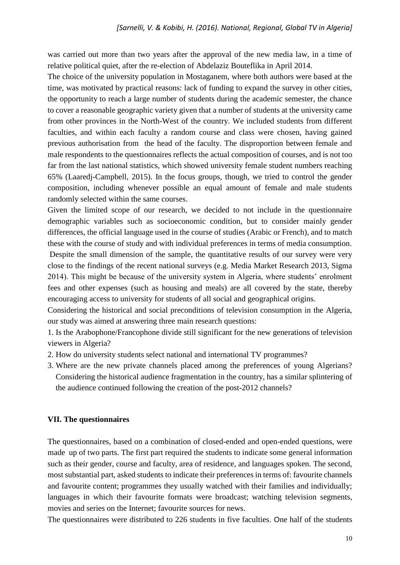was carried out more than two years after the approval of the new media law, in a time of relative political quiet, after the re-election of Abdelaziz Bouteflika in April 2014.

The choice of the university population in Mostaganem, where both authors were based at the time, was motivated by practical reasons: lack of funding to expand the survey in other cities, the opportunity to reach a large number of students during the academic semester, the chance to cover a reasonable geographic variety given that a number of students at the university came from other provinces in the North-West of the country. We included students from different faculties, and within each faculty a random course and class were chosen, having gained previous authorisation from the head of the faculty. The disproportion between female and male respondents to the questionnaires reflects the actual composition of courses, and is not too far from the last national statistics, which showed university female student numbers reaching 65% (Laaredj-Campbell, 2015). In the focus groups, though, we tried to control the gender composition, including whenever possible an equal amount of female and male students randomly selected within the same courses.

Given the limited scope of our research, we decided to not include in the questionnaire demographic variables such as socioeconomic condition, but to consider mainly gender differences, the official language used in the course of studies (Arabic or French), and to match these with the course of study and with individual preferences in terms of media consumption.

Despite the small dimension of the sample, the quantitative results of our survey were very close to the findings of the recent national surveys (e.g. Media Market Research 2013, Sigma 2014). This might be because of the university system in Algeria, where students' enrolment fees and other expenses (such as housing and meals) are all covered by the state, thereby encouraging access to university for students of all social and geographical origins.

Considering the historical and social preconditions of television consumption in the Algeria, our study was aimed at answering three main research questions:

1. Is the Arabophone/Francophone divide still significant for the new generations of television viewers in Algeria?

- 2. How do university students select national and international TV programmes?
- 3. Where are the new private channels placed among the preferences of young Algerians? Considering the historical audience fragmentation in the country, has a similar splintering of the audience continued following the creation of the post-2012 channels?

## **VII. The questionnaires**

The questionnaires, based on a combination of closed-ended and open-ended questions, were made up of two parts. The first part required the students to indicate some general information such as their gender, course and faculty, area of residence, and languages spoken. The second, most substantial part, asked students to indicate their preferences in terms of: favourite channels and favourite content; programmes they usually watched with their families and individually; languages in which their favourite formats were broadcast; watching television segments, movies and series on the Internet; favourite sources for news.

The questionnaires were distributed to 226 students in five faculties. One half of the students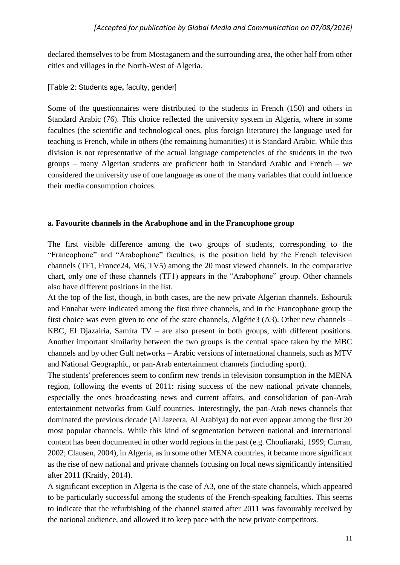declared themselves to be from Mostaganem and the surrounding area, the other half from other cities and villages in the North-West of Algeria.

[Table 2: Students age**,** faculty, gender]

Some of the questionnaires were distributed to the students in French (150) and others in Standard Arabic (76). This choice reflected the university system in Algeria, where in some faculties (the scientific and technological ones, plus foreign literature) the language used for teaching is French, while in others (the remaining humanities) it is Standard Arabic. While this division is not representative of the actual language competencies of the students in the two groups – many Algerian students are proficient both in Standard Arabic and French – we considered the university use of one language as one of the many variables that could influence their media consumption choices.

## **a. Favourite channels in the Arabophone and in the Francophone group**

The first visible difference among the two groups of students, corresponding to the "Francophone" and "Arabophone" faculties, is the position held by the French television channels (TF1, France24, M6, TV5) among the 20 most viewed channels. In the comparative chart, only one of these channels (TF1) appears in the "Arabophone" group. Other channels also have different positions in the list.

At the top of the list, though, in both cases, are the new private Algerian channels. Eshouruk and Ennahar were indicated among the first three channels, and in the Francophone group the first choice was even given to one of the state channels, Algérie3 (A3). Other new channels – KBC, El Djazairia, Samira TV – are also present in both groups, with different positions. Another important similarity between the two groups is the central space taken by the MBC channels and by other Gulf networks – Arabic versions of international channels, such as MTV and National Geographic, or pan-Arab entertainment channels (including sport).

The students' preferences seem to confirm new trends in television consumption in the MENA region, following the events of 2011: rising success of the new national private channels, especially the ones broadcasting news and current affairs, and consolidation of pan-Arab entertainment networks from Gulf countries. Interestingly, the pan-Arab news channels that dominated the previous decade (Al Jazeera, Al Arabiya) do not even appear among the first 20 most popular channels. While this kind of segmentation between national and international content has been documented in other world regions in the past (e.g. Chouliaraki, 1999; Curran, 2002; Clausen, 2004), in Algeria, as in some other MENA countries, it became more significant as the rise of new national and private channels focusing on local news significantly intensified after 2011 (Kraidy, 2014).

A significant exception in Algeria is the case of A3, one of the state channels, which appeared to be particularly successful among the students of the French-speaking faculties. This seems to indicate that the refurbishing of the channel started after 2011 was favourably received by the national audience, and allowed it to keep pace with the new private competitors.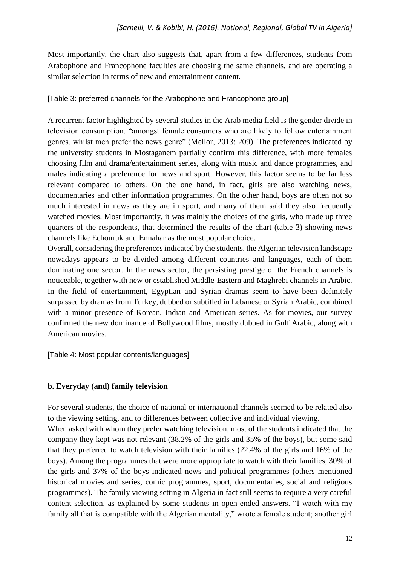Most importantly, the chart also suggests that, apart from a few differences, students from Arabophone and Francophone faculties are choosing the same channels, and are operating a similar selection in terms of new and entertainment content.

[Table 3: preferred channels for the Arabophone and Francophone group]

A recurrent factor highlighted by several studies in the Arab media field is the gender divide in television consumption, "amongst female consumers who are likely to follow entertainment genres, whilst men prefer the news genre" (Mellor, 2013: 209). The preferences indicated by the university students in Mostaganem partially confirm this difference, with more females choosing film and drama/entertainment series, along with music and dance programmes, and males indicating a preference for news and sport. However, this factor seems to be far less relevant compared to others. On the one hand, in fact, girls are also watching news, documentaries and other information programmes. On the other hand, boys are often not so much interested in news as they are in sport, and many of them said they also frequently watched movies. Most importantly, it was mainly the choices of the girls, who made up three quarters of the respondents, that determined the results of the chart (table 3) showing news channels like Echouruk and Ennahar as the most popular choice.

Overall, considering the preferences indicated by the students, the Algerian television landscape nowadays appears to be divided among different countries and languages, each of them dominating one sector. In the news sector, the persisting prestige of the French channels is noticeable, together with new or established Middle-Eastern and Maghrebi channels in Arabic. In the field of entertainment, Egyptian and Syrian dramas seem to have been definitely surpassed by dramas from Turkey, dubbed or subtitled in Lebanese or Syrian Arabic, combined with a minor presence of Korean, Indian and American series. As for movies, our survey confirmed the new dominance of Bollywood films, mostly dubbed in Gulf Arabic, along with American movies.

[Table 4: Most popular contents/languages]

# **b. Everyday (and) family television**

For several students, the choice of national or international channels seemed to be related also to the viewing setting, and to differences between collective and individual viewing.

When asked with whom they prefer watching television, most of the students indicated that the company they kept was not relevant (38.2% of the girls and 35% of the boys), but some said that they preferred to watch television with their families (22.4% of the girls and 16% of the boys). Among the programmes that were more appropriate to watch with their families, 30% of the girls and 37% of the boys indicated news and political programmes (others mentioned historical movies and series, comic programmes, sport, documentaries, social and religious programmes). The family viewing setting in Algeria in fact still seems to require a very careful content selection, as explained by some students in open-ended answers. "I watch with my family all that is compatible with the Algerian mentality," wrote a female student; another girl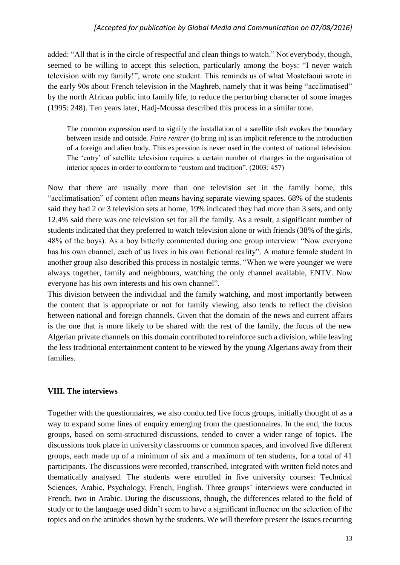added: "All that is in the circle of respectful and clean things to watch." Not everybody, though, seemed to be willing to accept this selection, particularly among the boys: "I never watch television with my family!", wrote one student. This reminds us of what Mostefaoui wrote in the early 90s about French television in the Maghreb, namely that it was being "acclimatised" by the north African public into family life, to reduce the perturbing character of some images (1995: 248). Ten years later, Hadj-Moussa described this process in a similar tone.

The common expression used to signify the installation of a satellite dish evokes the boundary between inside and outside. *Faire rentrer* (to bring in) is an implicit reference to the introduction of a foreign and alien body. This expression is never used in the context of national television. The 'entry' of satellite television requires a certain number of changes in the organisation of interior spaces in order to conform to "custom and tradition". (2003: 457)

Now that there are usually more than one television set in the family home, this "acclimatisation" of content often means having separate viewing spaces. 68% of the students said they had 2 or 3 television sets at home, 19% indicated they had more than 3 sets, and only 12.4% said there was one television set for all the family. As a result, a significant number of students indicated that they preferred to watch television alone or with friends (38% of the girls, 48% of the boys). As a boy bitterly commented during one group interview: "Now everyone has his own channel, each of us lives in his own fictional reality". A mature female student in another group also described this process in nostalgic terms. "When we were younger we were always together, family and neighbours, watching the only channel available, ENTV. Now everyone has his own interests and his own channel".

This division between the individual and the family watching, and most importantly between the content that is appropriate or not for family viewing, also tends to reflect the division between national and foreign channels. Given that the domain of the news and current affairs is the one that is more likely to be shared with the rest of the family, the focus of the new Algerian private channels on this domain contributed to reinforce such a division, while leaving the less traditional entertainment content to be viewed by the young Algerians away from their families.

# **VIII. The interviews**

Together with the questionnaires, we also conducted five focus groups, initially thought of as a way to expand some lines of enquiry emerging from the questionnaires. In the end, the focus groups, based on semi-structured discussions, tended to cover a wider range of topics. The discussions took place in university classrooms or common spaces, and involved five different groups, each made up of a minimum of six and a maximum of ten students, for a total of 41 participants. The discussions were recorded, transcribed, integrated with written field notes and thematically analysed. The students were enrolled in five university courses: Technical Sciences, Arabic, Psychology, French, English. Three groups' interviews were conducted in French, two in Arabic. During the discussions, though, the differences related to the field of study or to the language used didn't seem to have a significant influence on the selection of the topics and on the attitudes shown by the students. We will therefore present the issues recurring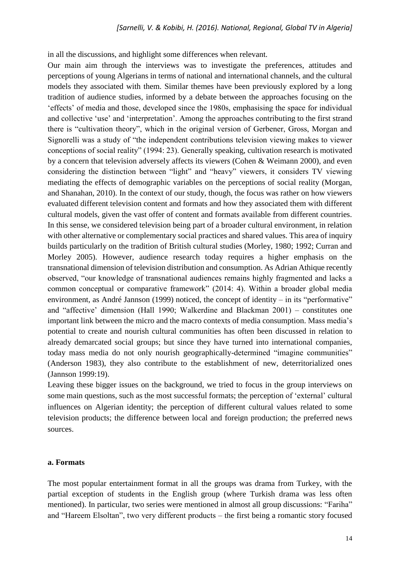in all the discussions, and highlight some differences when relevant.

Our main aim through the interviews was to investigate the preferences, attitudes and perceptions of young Algerians in terms of national and international channels, and the cultural models they associated with them. Similar themes have been previously explored by a long tradition of audience studies, informed by a debate between the approaches focusing on the 'effects' of media and those, developed since the 1980s, emphasising the space for individual and collective 'use' and 'interpretation'. Among the approaches contributing to the first strand there is "cultivation theory", which in the original version of Gerbener, Gross, Morgan and Signorelli was a study of "the independent contributions television viewing makes to viewer conceptions of social reality" (1994: 23). Generally speaking, cultivation research is motivated by a concern that television adversely affects its viewers (Cohen & Weimann 2000), and even considering the distinction between "light" and "heavy" viewers, it considers TV viewing mediating the effects of demographic variables on the perceptions of social reality (Morgan, and Shanahan, 2010). In the context of our study, though, the focus was rather on how viewers evaluated different television content and formats and how they associated them with different cultural models, given the vast offer of content and formats available from different countries. In this sense, we considered television being part of a broader cultural environment, in relation with other alternative or complementary social practices and shared values. This area of inquiry builds particularly on the tradition of British cultural studies (Morley, 1980; 1992; Curran and Morley 2005). However, audience research today requires a higher emphasis on the transnational dimension of television distribution and consumption. As Adrian Athique recently observed, "our knowledge of transnational audiences remains highly fragmented and lacks a common conceptual or comparative framework" (2014: 4). Within a broader global media environment, as André Jannson (1999) noticed, the concept of identity – in its "performative" and "affective' dimension (Hall 1990; Walkerdine and Blackman 2001) – constitutes one important link between the micro and the macro contexts of media consumption. Mass media's potential to create and nourish cultural communities has often been discussed in relation to already demarcated social groups; but since they have turned into international companies, today mass media do not only nourish geographically-determined "imagine communities" (Anderson 1983), they also contribute to the establishment of new, deterritorialized ones (Jannson 1999:19).

Leaving these bigger issues on the background, we tried to focus in the group interviews on some main questions, such as the most successful formats; the perception of 'external' cultural influences on Algerian identity; the perception of different cultural values related to some television products; the difference between local and foreign production; the preferred news sources.

#### **a. Formats**

The most popular entertainment format in all the groups was drama from Turkey, with the partial exception of students in the English group (where Turkish drama was less often mentioned). In particular, two series were mentioned in almost all group discussions: "Fariha" and "Hareem Elsoltan", two very different products – the first being a romantic story focused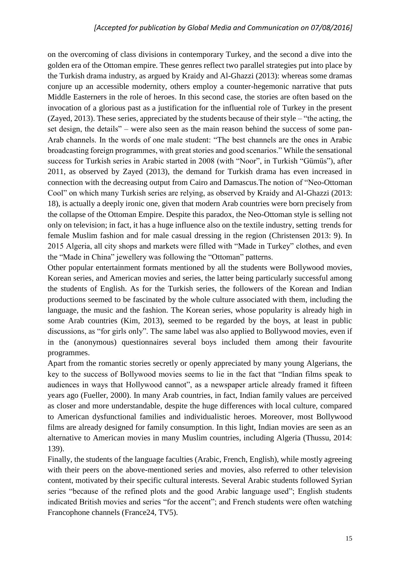on the overcoming of class divisions in contemporary Turkey, and the second a dive into the golden era of the Ottoman empire. These genres reflect two parallel strategies put into place by the Turkish drama industry, as argued by Kraidy and Al-Ghazzi (2013): whereas some dramas conjure up an accessible modernity, others employ a counter-hegemonic narrative that puts Middle Easterners in the role of heroes. In this second case, the stories are often based on the invocation of a glorious past as a justification for the influential role of Turkey in the present (Zayed, 2013). These series, appreciated by the students because of their style – "the acting, the set design, the details" – were also seen as the main reason behind the success of some pan-Arab channels. In the words of one male student: "The best channels are the ones in Arabic broadcasting foreign programmes, with great stories and good scenarios." While the sensational success for Turkish series in Arabic started in 2008 (with "Noor", in Turkish "Gümüs"), after 2011, as observed by Zayed (2013), the demand for Turkish drama has even increased in connection with the decreasing output from Cairo and Damascus.The notion of "Neo-Ottoman Cool" on which many Turkish series are relying, as observed by Kraidy and Al-Ghazzi (2013: 18), is actually a deeply ironic one, given that modern Arab countries were born precisely from the collapse of the Ottoman Empire. Despite this paradox, the Neo-Ottoman style is selling not only on television; in fact, it has a huge influence also on the textile industry, setting trends for female Muslim fashion and for male casual dressing in the region (Christensen 2013: 9). In 2015 Algeria, all city shops and markets were filled with "Made in Turkey" clothes, and even the "Made in China" jewellery was following the "Ottoman" patterns.

Other popular entertainment formats mentioned by all the students were Bollywood movies, Korean series, and American movies and series, the latter being particularly successful among the students of English. As for the Turkish series, the followers of the Korean and Indian productions seemed to be fascinated by the whole culture associated with them, including the language, the music and the fashion. The Korean series, whose popularity is already high in some Arab countries (Kim, 2013), seemed to be regarded by the boys, at least in public discussions, as "for girls only". The same label was also applied to Bollywood movies, even if in the (anonymous) questionnaires several boys included them among their favourite programmes.

Apart from the romantic stories secretly or openly appreciated by many young Algerians, the key to the success of Bollywood movies seems to lie in the fact that "Indian films speak to audiences in ways that Hollywood cannot", as a newspaper article already framed it fifteen years ago (Fueller, 2000). In many Arab countries, in fact, Indian family values are perceived as closer and more understandable, despite the huge differences with local culture, compared to American dysfunctional families and individualistic heroes. Moreover, most Bollywood films are already designed for family consumption. In this light, Indian movies are seen as an alternative to American movies in many Muslim countries, including Algeria (Thussu, 2014: 139).

Finally, the students of the language faculties (Arabic, French, English), while mostly agreeing with their peers on the above-mentioned series and movies, also referred to other television content, motivated by their specific cultural interests. Several Arabic students followed Syrian series "because of the refined plots and the good Arabic language used"; English students indicated British movies and series "for the accent"; and French students were often watching Francophone channels (France24, TV5).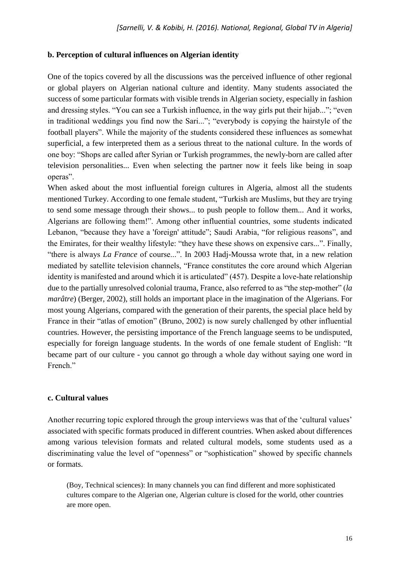## **b. Perception of cultural influences on Algerian identity**

One of the topics covered by all the discussions was the perceived influence of other regional or global players on Algerian national culture and identity. Many students associated the success of some particular formats with visible trends in Algerian society, especially in fashion and dressing styles. "You can see a Turkish influence, in the way girls put their hijab..."; "even in traditional weddings you find now the Sari..."; "everybody is copying the hairstyle of the football players". While the majority of the students considered these influences as somewhat superficial, a few interpreted them as a serious threat to the national culture. In the words of one boy: "Shops are called after Syrian or Turkish programmes, the newly-born are called after television personalities... Even when selecting the partner now it feels like being in soap operas".

When asked about the most influential foreign cultures in Algeria, almost all the students mentioned Turkey. According to one female student, "Turkish are Muslims, but they are trying to send some message through their shows... to push people to follow them... And it works, Algerians are following them!". Among other influential countries, some students indicated Lebanon, "because they have a 'foreign' attitude"; Saudi Arabia, "for religious reasons", and the Emirates, for their wealthy lifestyle: "they have these shows on expensive cars...". Finally, "there is always *La France* of course...". In 2003 Hadj-Moussa wrote that, in a new relation mediated by satellite television channels, "France constitutes the core around which Algerian identity is manifested and around which it is articulated" (457). Despite a love-hate relationship due to the partially unresolved colonial trauma, France, also referred to as "the step-mother" (*la marâtre*) (Berger, 2002), still holds an important place in the imagination of the Algerians. For most young Algerians, compared with the generation of their parents, the special place held by France in their "atlas of emotion" (Bruno, 2002) is now surely challenged by other influential countries. However, the persisting importance of the French language seems to be undisputed, especially for foreign language students. In the words of one female student of English: "It became part of our culture - you cannot go through a whole day without saying one word in French<sup>"</sup>

## **c. Cultural values**

Another recurring topic explored through the group interviews was that of the 'cultural values' associated with specific formats produced in different countries. When asked about differences among various television formats and related cultural models, some students used as a discriminating value the level of "openness" or "sophistication" showed by specific channels or formats.

(Boy, Technical sciences): In many channels you can find different and more sophisticated cultures compare to the Algerian one, Algerian culture is closed for the world, other countries are more open.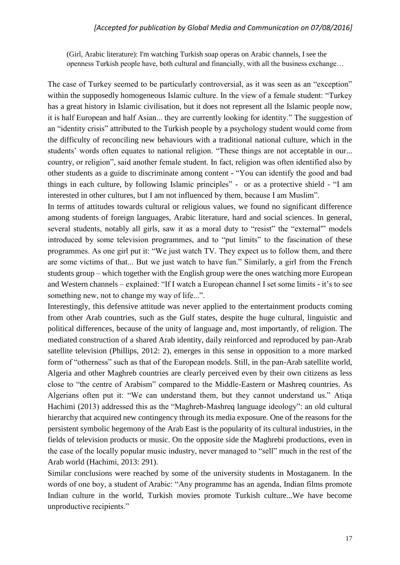(Girl, Arabic literature): I'm watching Turkish soap operas on Arabic channels, I see the openness Turkish people have, both cultural and financially, with all the business exchange…

The case of Turkey seemed to be particularly controversial, as it was seen as an "exception" within the supposedly homogeneous Islamic culture. In the view of a female student: "Turkey has a great history in Islamic civilisation, but it does not represent all the Islamic people now, it is half European and half Asian... they are currently looking for identity." The suggestion of an "identity crisis" attributed to the Turkish people by a psychology student would come from the difficulty of reconciling new behaviours with a traditional national culture, which in the students' words often equates to national religion. "These things are not acceptable in our... country, or religion", said another female student. In fact, religion was often identified also by other students as a guide to discriminate among content - "You can identify the good and bad things in each culture, by following Islamic principles" - or as a protective shield - "I am interested in other cultures, but I am not influenced by them, because I am Muslim".

In terms of attitudes towards cultural or religious values, we found no significant difference among students of foreign languages, Arabic literature, hard and social sciences. In general, several students, notably all girls, saw it as a moral duty to "resist" the "external" models introduced by some television programmes, and to "put limits" to the fascination of these programmes. As one girl put it: "We just watch TV. They expect us to follow them, and there are some victims of that... But we just watch to have fun." Similarly, a girl from the French students group – which together with the English group were the ones watching more European and Western channels – explained: "If I watch a European channel I set some limits - it's to see something new, not to change my way of life...".

Interestingly, this defensive attitude was never applied to the entertainment products coming from other Arab countries, such as the Gulf states, despite the huge cultural, linguistic and political differences, because of the unity of language and, most importantly, of religion. The mediated construction of a shared Arab identity, daily reinforced and reproduced by pan-Arab satellite television (Phillips, 2012: 2), emerges in this sense in opposition to a more marked form of "otherness" such as that of the European models. Still, in the pan-Arab satellite world, Algeria and other Maghreb countries are clearly perceived even by their own citizens as less close to "the centre of Arabism" compared to the Middle-Eastern or Mashreq countries. As Algerians often put it: "We can understand them, but they cannot understand us." Atiqa Hachimi (2013) addressed this as the "Maghreb-Mashreq language ideology": an old cultural hierarchy that acquired new contingency through its media exposure. One of the reasons for the persistent symbolic hegemony of the Arab East is the popularity of its cultural industries, in the fields of television products or music. On the opposite side the Maghrebi productions, even in the case of the locally popular music industry, never managed to "sell" much in the rest of the Arab world (Hachimi, 2013: 291).

Similar conclusions were reached by some of the university students in Mostaganem. In the words of one boy, a student of Arabic: "Any programme has an agenda, Indian films promote Indian culture in the world, Turkish movies promote Turkish culture...We have become unproductive recipients."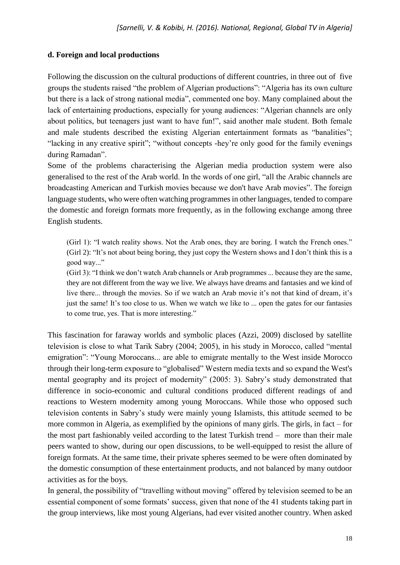## **d. Foreign and local productions**

Following the discussion on the cultural productions of different countries, in three out of five groups the students raised "the problem of Algerian productions": "Algeria has its own culture but there is a lack of strong national media", commented one boy. Many complained about the lack of entertaining productions, especially for young audiences: "Algerian channels are only about politics, but teenagers just want to have fun!", said another male student. Both female and male students described the existing Algerian entertainment formats as "banalities"; "lacking in any creative spirit"; "without concepts -hey're only good for the family evenings during Ramadan".

Some of the problems characterising the Algerian media production system were also generalised to the rest of the Arab world. In the words of one girl, "all the Arabic channels are broadcasting American and Turkish movies because we don't have Arab movies". The foreign language students, who were often watching programmes in other languages, tended to compare the domestic and foreign formats more frequently, as in the following exchange among three English students.

(Girl 1): "I watch reality shows. Not the Arab ones, they are boring. I watch the French ones." (Girl 2): "It's not about being boring, they just copy the Western shows and I don't think this is a good way..."

(Girl 3): "I think we don't watch Arab channels or Arab programmes ... because they are the same, they are not different from the way we live. We always have dreams and fantasies and we kind of live there... through the movies. So if we watch an Arab movie it's not that kind of dream*,* it's just the same! It's too close to us. When we watch we like to ... open the gates for our fantasies to come true, yes. That is more interesting."

This fascination for faraway worlds and symbolic places (Azzi, 2009) disclosed by satellite television is close to what Tarik Sabry (2004; 2005), in his study in Morocco, called "mental emigration": "Young Moroccans... are able to emigrate mentally to the West inside Morocco through their long-term exposure to "globalised" Western media texts and so expand the West's mental geography and its project of modernity" (2005: 3). Sabry's study demonstrated that difference in socio-economic and cultural conditions produced different readings of and reactions to Western modernity among young Moroccans. While those who opposed such television contents in Sabry's study were mainly young Islamists, this attitude seemed to be more common in Algeria, as exemplified by the opinions of many girls. The girls, in fact – for the most part fashionably veiled according to the latest Turkish trend – more than their male peers wanted to show, during our open discussions, to be well-equipped to resist the allure of foreign formats. At the same time, their private spheres seemed to be were often dominated by the domestic consumption of these entertainment products, and not balanced by many outdoor activities as for the boys.

In general, the possibility of "travelling without moving" offered by television seemed to be an essential component of some formats' success, given that none of the 41 students taking part in the group interviews, like most young Algerians, had ever visited another country. When asked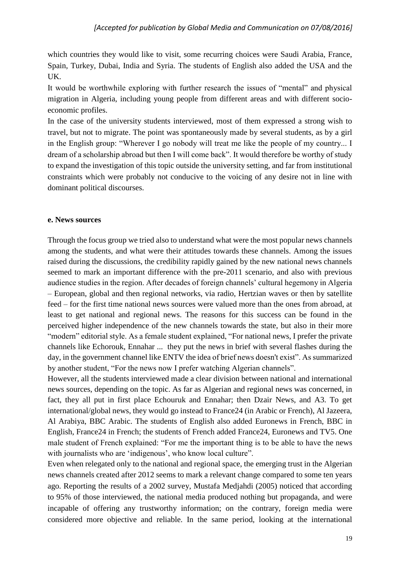which countries they would like to visit, some recurring choices were Saudi Arabia, France, Spain, Turkey, Dubai, India and Syria. The students of English also added the USA and the UK.

It would be worthwhile exploring with further research the issues of "mental" and physical migration in Algeria, including young people from different areas and with different socioeconomic profiles.

In the case of the university students interviewed, most of them expressed a strong wish to travel, but not to migrate. The point was spontaneously made by several students, as by a girl in the English group: "Wherever I go nobody will treat me like the people of my country... I dream of a scholarship abroad but then I will come back". It would therefore be worthy of study to expand the investigation of this topic outside the university setting, and far from institutional constraints which were probably not conducive to the voicing of any desire not in line with dominant political discourses.

## **e. News sources**

Through the focus group we tried also to understand what were the most popular news channels among the students, and what were their attitudes towards these channels. Among the issues raised during the discussions, the credibility rapidly gained by the new national news channels seemed to mark an important difference with the pre-2011 scenario, and also with previous audience studies in the region. After decades of foreign channels' cultural hegemony in Algeria – European, global and then regional networks, via radio, Hertzian waves or then by satellite feed – for the first time national news sources were valued more than the ones from abroad, at least to get national and regional news. The reasons for this success can be found in the perceived higher independence of the new channels towards the state, but also in their more "modern" editorial style. As a female student explained, "For national news, I prefer the private channels like Echorouk, Ennahar ... they put the news in brief with several flashes during the day, in the government channel like ENTV the idea of brief news doesn't exist". As summarized by another student, "For the news now I prefer watching Algerian channels".

However, all the students interviewed made a clear division between national and international news sources, depending on the topic. As far as Algerian and regional news was concerned, in fact, they all put in first place Echouruk and Ennahar; then Dzair News, and A3. To get international/global news, they would go instead to France24 (in Arabic or French), Al Jazeera, Al Arabiya, BBC Arabic. The students of English also added Euronews in French, BBC in English, France24 in French; the students of French added France24, Euronews and TV5. One male student of French explained: "For me the important thing is to be able to have the news with journalists who are 'indigenous', who know local culture".

Even when relegated only to the national and regional space, the emerging trust in the Algerian news channels created after 2012 seems to mark a relevant change compared to some ten years ago. Reporting the results of a 2002 survey, Mustafa Medjahdi (2005) noticed that according to 95% of those interviewed, the national media produced nothing but propaganda, and were incapable of offering any trustworthy information; on the contrary, foreign media were considered more objective and reliable. In the same period, looking at the international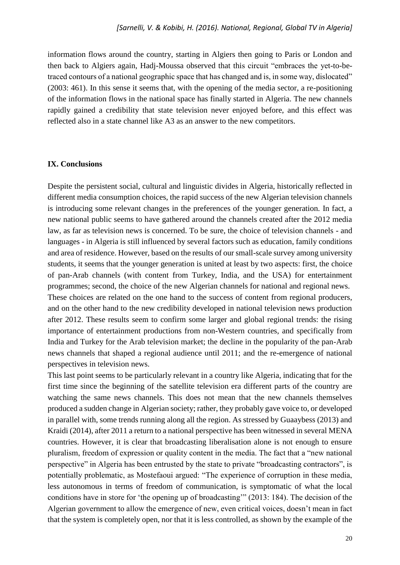information flows around the country, starting in Algiers then going to Paris or London and then back to Algiers again, Hadj-Moussa observed that this circuit "embraces the yet-to-betraced contours of a national geographic space that has changed and is, in some way, dislocated" (2003: 461). In this sense it seems that, with the opening of the media sector, a re-positioning of the information flows in the national space has finally started in Algeria. The new channels rapidly gained a credibility that state television never enjoyed before, and this effect was reflected also in a state channel like A3 as an answer to the new competitors.

### **IX. Conclusions**

Despite the persistent social, cultural and linguistic divides in Algeria, historically reflected in different media consumption choices, the rapid success of the new Algerian television channels is introducing some relevant changes in the preferences of the younger generation. In fact, a new national public seems to have gathered around the channels created after the 2012 media law, as far as television news is concerned. To be sure, the choice of television channels - and languages - in Algeria is still influenced by several factors such as education, family conditions and area of residence. However, based on the results of our small-scale survey among university students, it seems that the younger generation is united at least by two aspects: first, the choice of pan-Arab channels (with content from Turkey, India, and the USA) for entertainment programmes; second, the choice of the new Algerian channels for national and regional news. These choices are related on the one hand to the success of content from regional producers, and on the other hand to the new credibility developed in national television news production after 2012. These results seem to confirm some larger and global regional trends: the rising importance of entertainment productions from non-Western countries, and specifically from India and Turkey for the Arab television market; the decline in the popularity of the pan-Arab news channels that shaped a regional audience until 2011; and the re-emergence of national perspectives in television news.

This last point seems to be particularly relevant in a country like Algeria, indicating that for the first time since the beginning of the satellite television era different parts of the country are watching the same news channels. This does not mean that the new channels themselves produced a sudden change in Algerian society; rather, they probably gave voice to, or developed in parallel with, some trends running along all the region. As stressed by Guaaybess (2013) and Kraidi (2014), after 2011 a return to a national perspective has been witnessed in several MENA countries. However, it is clear that broadcasting liberalisation alone is not enough to ensure pluralism, freedom of expression or quality content in the media. The fact that a "new national perspective" in Algeria has been entrusted by the state to private "broadcasting contractors", is potentially problematic, as Mostefaoui argued: "The experience of corruption in these media, less autonomous in terms of freedom of communication, is symptomatic of what the local conditions have in store for 'the opening up of broadcasting'" (2013: 184). The decision of the Algerian government to allow the emergence of new, even critical voices, doesn't mean in fact that the system is completely open, nor that it is less controlled, as shown by the example of the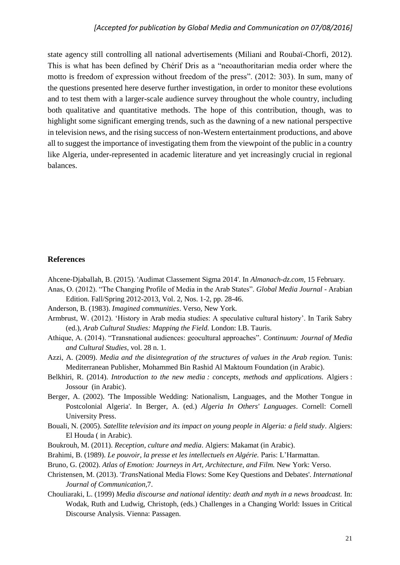state agency still controlling all national advertisements (Miliani and Roubaï-Chorfi, 2012). This is what has been defined by Chérif Dris as a "neoauthoritarian media order where the motto is freedom of expression without freedom of the press". (2012: 303). In sum, many of the questions presented here deserve further investigation, in order to monitor these evolutions and to test them with a larger-scale audience survey throughout the whole country, including both qualitative and quantitative methods. The hope of this contribution, though, was to highlight some significant emerging trends, such as the dawning of a new national perspective in television news, and the rising success of non-Western entertainment productions, and above all to suggest the importance of investigating them from the viewpoint of the public in a country like Algeria, under-represented in academic literature and yet increasingly crucial in regional balances.

#### **References**

- Ahcene-Djaballah, B. (2015). 'Audimat Classement Sigma 2014'. In *Almanach-dz.com,* 15 February*.*
- Anas, O. (2012). "The Changing Profile of Media in the Arab States". *Global Media Journal* Arabian Edition. Fall/Spring 2012-2013, Vol. 2, Nos. 1-2, pp. 28-46.
- Anderson, B. (1983). *Imagined communities*. Verso, New York.
- Armbrust, W. (2012). 'History in Arab media studies: A speculative cultural history'. In Tarik Sabry (ed.), *Arab Cultural Studies: Mapping the Field.* London: I.B. Tauris.
- Athique, A. (2014). "Transnational audiences: geocultural approaches". *Continuum: Journal of Media and Cultural Studies*, vol. 28 n. 1.
- Azzi, A. (2009). *Media and the disintegration of the structures of values in the Arab region.* Tunis: Mediterranean Publisher, Mohammed Bin Rashid Al Maktoum Foundation (in Arabic).
- Belkhiri, R. (2014). *Introduction to the new media : concepts, methods and applications.* Algiers : Jossour (in Arabic).
- Berger, A. (2002). 'The Impossible Wedding: Nationalism, Languages, and the Mother Tongue in Postcolonial Algeria'. In Berger, A. (ed.) *Algeria In Others' Languages*. Cornell: Cornell University Press.
- Bouali, N. (2005). *Satellite television and its impact on young people in Algeria: a field study*. Algiers: El Houda ( in Arabic).
- Boukrouh, M. (2011). *Reception, culture and media*. Algiers: Makamat (in Arabic).
- Brahimi, B. (1989). *Le pouvoir, la presse et les intellectuels en Algérie.* Paris: L'Harmattan.
- Bruno, G. (2002). *Atlas of Emotion: Journeys in Art, Architecture, and Film.* New York: Verso.
- Christensen, M. (2013). '*Trans*National Media Flows: Some Key Questions and Debates'. *International Journal of Communication,*7.
- Chouliaraki, L. (1999) *Media discourse and national identity: death and myth in a news broadcast.* In: Wodak, Ruth and Ludwig, Christoph, (eds.) Challenges in a Changing World: Issues in Critical Discourse Analysis. Vienna: Passagen.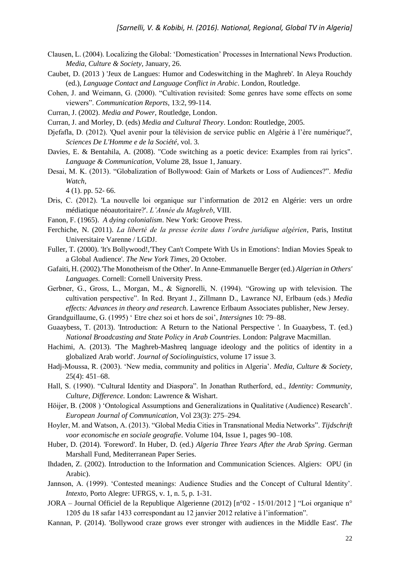- Clausen, L. (2004). Localizing the Global: 'Domestication' Processes in International News Production. *Media, Culture & Society,* January, 26.
- Caubet, D. (2013 ) 'Jeux de Langues: Humor and Codeswitching in the Maghreb'. In Aleya Rouchdy (ed.), *Language Contact and Language Conflict in Arabic*. London, Routledge.
- Cohen, J. and Weimann, G. (2000). "Cultivation revisited: Some genres have some effects on some viewers". *Communication Reports*, 13:2, 99-114.
- Curran, J. (2002). *Media and Power,* Routledge, London.
- Curran, J. and Morley, D. (eds) *Media and Cultural Theory*. London: Routledge, 2005.
- Djefafla, D. (2012). 'Quel avenir pour la télévision de service public en Algérie à l'ère numérique?', *Sciences De L'Homme e de la Société*, vol. 3.
- Davies, E. & Bentahila, A. (2008). "Code switching as a poetic device: Examples from rai lyrics". *Language & Communication*, Volume 28, Issue 1, January.
- Desai, M. K. (2013). "Globalization of Bollywood: Gain of Markets or Loss of Audiences?". *Media Watch*,

4 (1). pp. 52- 66.

- Dris, C. (2012). 'La nouvelle loi organique sur l'information de 2012 en Algérie: vers un ordre médiatique néoautoritaire?'. *L'Année du Maghreb*, VIII.
- Fanon, F. (1965). *A dying colonialism*. New York: Groove Press.
- Ferchiche, N. (2011). *La liberté de la presse écrite dans l'ordre juridique algérien*, Paris, Institut Universitaire Varenne / LGDJ.
- Fuller, T. (2000). 'It's Bollywood!,'They Can't Compete With Us in Emotions': Indian Movies Speak to a Global Audience'. *The New York Times*, 20 October.
- Gafaiti, H. (2002).'The Monotheism of the Other'. In Anne-Emmanuelle Berger (ed.) *Algerian in Others' Languages.* Cornell: Cornell University Press.
- Gerbner, G., Gross, L., Morgan, M., & Signorelli, N. (1994). "Growing up with television. The cultivation perspective". In Red. Bryant J., Zillmann D., Lawrance NJ, Erlbaum (eds.) *Media effects: Advances in theory and research*. Lawrence Erlbaum Associates publisher, New Jersey.

Grandguillaume, G. (1995) ' Etre chez soi et hors de soi', *Intersignes* 10: 79–88.

- Guaaybess, T. (2013). 'Introduction: A Return to the National Perspective '. In Guaaybess, T. (ed.) *National Broadcasting and State Policy in Arab Countries*. London: Palgrave Macmillan.
- Hachimi, A. (2013). 'The Maghreb-Mashreq language ideology and the politics of identity in a globalized Arab world'. *Journal of Sociolinguistics*, volume 17 issue 3.
- Hadj-Moussa, R. (2003). 'New media, community and politics in Algeria'. *Media, Culture & Society*, 25(4): 451–68.
- Hall, S. (1990). "Cultural Identity and Diaspora". In Jonathan Rutherford, ed., *Identity: Community, Culture, Difference.* London: Lawrence & Wishart.
- Höijer, B. (2008 ) 'Ontological Assumptions and Generalizations in Qualitative (Audience) Research'. *European Journal of Communication*, Vol 23(3): 275–294.
- Hoyler, M. and Watson, A. (2013). "Global Media Cities in Transnational Media Networks". *Tijdschrift voor economische en sociale geografie*. Volume 104, Issue 1, pages 90–108.
- Huber, D. (2014). 'Foreword'. In Huber, D. (ed.) *Algeria Three Years After the Arab Spring*. German Marshall Fund, Mediterranean Paper Series.
- Ihdaden, Z. (2002). Introduction to the Information and Communication Sciences. Algiers: OPU (in Arabic).
- Jannson, A. (1999). 'Contested meanings: Audience Studies and the Concept of Cultural Identity'. *Intexto*, Porto Alegre: UFRGS, v. 1, n. 5, p. 1-31.
- JORA Journal Officiel de la Republique Algerienne (2012) [n°02 15/01/2012 ] "Loi organique n° 1205 du 18 safar 1433 correspondant au 12 janvier 2012 relative à l'information".
- Kannan, P. (2014). 'Bollywood craze grows ever stronger with audiences in the Middle East'. *The*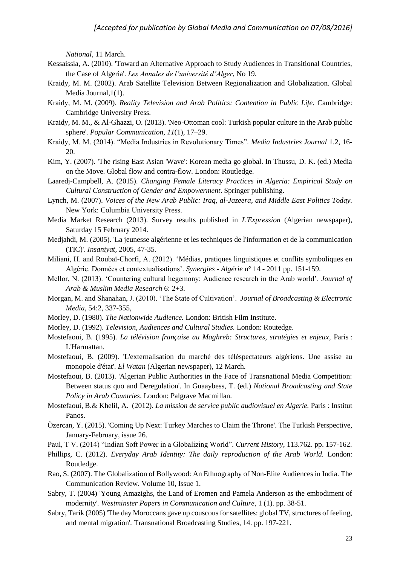*National*, 11 March.

- Kessaissia, A. (2010). 'Toward an Alternative Approach to Study Audiences in Transitional Countries, the Case of Algeria'. *Les Annales de l'université d'Alger*, No 19.
- Kraidy, M. M. (2002). Arab Satellite Television Between Regionalization and Globalization. Global Media Journal,1(1).
- Kraidy, M. M. (2009). *Reality Television and Arab Politics: Contention in Public Life.* Cambridge: Cambridge University Press.
- Kraidy, M. M., & Al-Ghazzi, O. (2013). 'Neo-Ottoman cool: Turkish popular culture in the Arab public sphere'. *Popular Communication*, *11*(1), 17–29.
- Kraidy, M. M. (2014). "Media Industries in Revolutionary Times". *Media Industries Journal* 1.2, 16- 20.
- Kim, Y. (2007). 'The rising East Asian 'Wave': Korean media go global. In Thussu, D. K. (ed.) Media on the Move. Global flow and contra-flow. London: Routledge.
- Laaredj-Campbell, A. (2015). *Changing Female Literacy Practices in Algeria: Empirical Study on Cultural Construction of Gender and Empowerment*. Springer publishing.
- Lynch, M. (2007). *Voices of the New Arab Public: Iraq, al-Jazeera, and Middle East Politics Today.*  New York: Columbia University Press.
- Media Market Research (2013). Survey results published in *L'Expression* (Algerian newspaper), Saturday 15 February 2014.
- Medjahdi, M. (2005). 'La jeunesse algérienne et les techniques de l'information et de la communication (TIC)'. *Insaniyat,* 2005, 47-35.
- Miliani, H. and Roubaï-Chorfi, A. (2012). 'Médias, pratiques linguistiques et conflits symboliques en Algérie. Données et contextualisations'. *Synergies - Algérie* n° 14 - 2011 pp. 151-159.
- Mellor, N. (2013). 'Countering cultural hegemony: Audience research in the Arab world'. *Journal of Arab & Muslim Media Research* 6: 2+3.
- Morgan, M. and Shanahan, J. (2010). 'The State of Cultivation'. *Journal of Broadcasting & Electronic Media*, 54:2, 337-355,
- Morley, D. (1980). *The Nationwide Audience.* London: British Film Institute.
- Morley, D. (1992). *Television, Audiences and Cultural Studies.* London: Routedge.
- Mostefaoui, B. (1995). *La télévision française au Maghreb: Structures, stratégies et enjeux*, Paris : L'Harmattan.
- Mostefaoui, B. (2009). 'L'externalisation du marché des téléspectateurs algériens. Une assise au monopole d'état'. *El Watan* (Algerian newspaper), 12 March.
- Mostefaoui, B. (2013). 'Algerian Public Authorities in the Face of Transnational Media Competition: Between status quo and Deregulation'. In Guaaybess, T. (ed.) *National Broadcasting and State Policy in Arab Countries*. London: Palgrave Macmillan.
- Mostefaoui, B.& Khelil, A. (2012). *La mission de service public audiovisuel en Algerie.* Paris : Institut Panos.
- Özercan, Y. (2015). 'Coming Up Next: Turkey Marches to Claim the Throne'. The Turkish Perspective, January-February, issue 26.
- Paul, T V. (2014) "Indian Soft Power in a Globalizing World". *Current History*, 113.762. pp. 157-162.
- Phillips, C. (2012). *Everyday Arab Identity: The daily reproduction of the Arab World.* London: Routledge.
- Rao, S. (2007). The Globalization of Bollywood: An Ethnography of Non-Elite Audiences in India. The Communication Review. Volume 10, Issue 1.
- Sabry, T. (2004) 'Young Amazighs, the Land of Eromen and Pamela Anderson as the embodiment of modernity'*. Westminster Papers in Communication and Culture*, 1 (1). pp. 38-51.
- Sabry, Tarik (2005) 'The day Moroccans gave up couscous for satellites: global TV, structures of feeling, and mental migration'*.* Transnational Broadcasting Studies, 14. pp. 197-221.